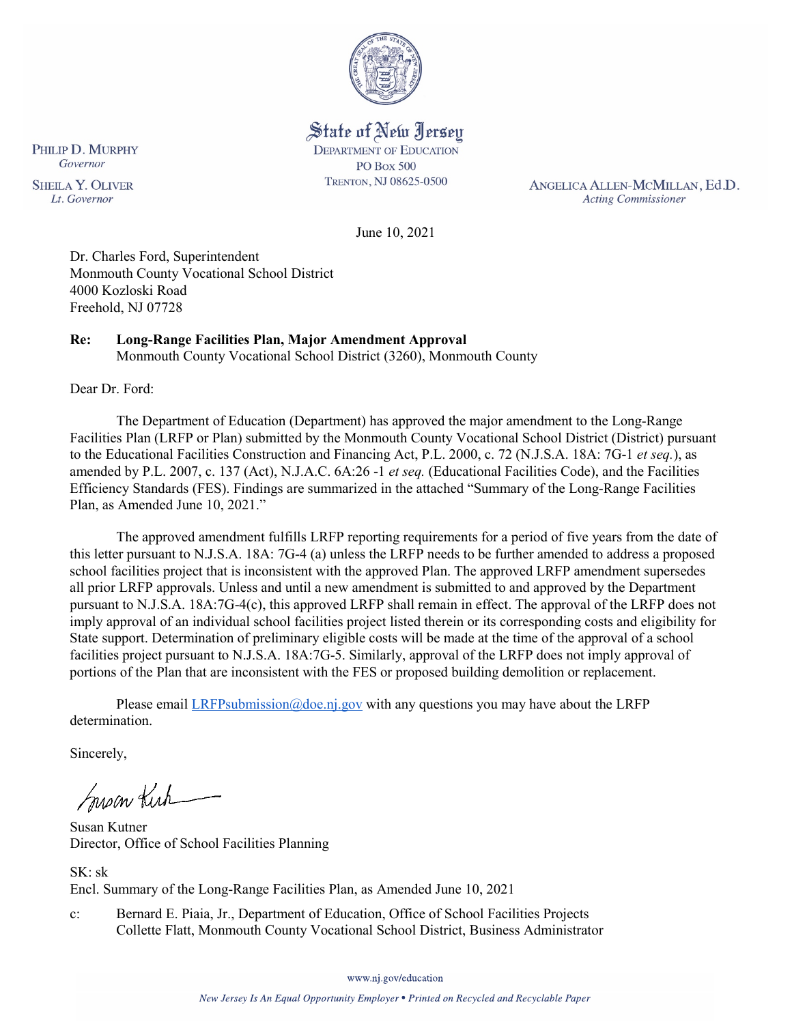

State of New Jersey **DEPARTMENT OF EDUCATION PO Box 500** TRENTON, NJ 08625-0500

ANGELICA ALLEN-MCMILLAN, Ed.D. **Acting Commissioner** 

June 10, 2021

Dr. Charles Ford, Superintendent Monmouth County Vocational School District 4000 Kozloski Road Freehold, NJ 07728

## **Re: Long-Range Facilities Plan, Major Amendment Approval**

Monmouth County Vocational School District (3260), Monmouth County

Dear Dr. Ford:

The Department of Education (Department) has approved the major amendment to the Long-Range Facilities Plan (LRFP or Plan) submitted by the Monmouth County Vocational School District (District) pursuant to the Educational Facilities Construction and Financing Act, P.L. 2000, c. 72 (N.J.S.A. 18A: 7G-1 *et seq.*), as amended by P.L. 2007, c. 137 (Act), N.J.A.C. 6A:26 -1 *et seq.* (Educational Facilities Code), and the Facilities Efficiency Standards (FES). Findings are summarized in the attached "Summary of the Long-Range Facilities Plan, as Amended June 10, 2021."

The approved amendment fulfills LRFP reporting requirements for a period of five years from the date of this letter pursuant to N.J.S.A. 18A: 7G-4 (a) unless the LRFP needs to be further amended to address a proposed school facilities project that is inconsistent with the approved Plan. The approved LRFP amendment supersedes all prior LRFP approvals. Unless and until a new amendment is submitted to and approved by the Department pursuant to N.J.S.A. 18A:7G-4(c), this approved LRFP shall remain in effect. The approval of the LRFP does not imply approval of an individual school facilities project listed therein or its corresponding costs and eligibility for State support. Determination of preliminary eligible costs will be made at the time of the approval of a school facilities project pursuant to N.J.S.A. 18A:7G-5. Similarly, approval of the LRFP does not imply approval of portions of the Plan that are inconsistent with the FES or proposed building demolition or replacement.

Please email  $LRFP submission@doe.nj.gov$  with any questions you may have about the LRFP determination.

Sincerely,

Susan Kich

Susan Kutner Director, Office of School Facilities Planning

SK: sk Encl. Summary of the Long-Range Facilities Plan, as Amended June 10, 2021

c: Bernard E. Piaia, Jr., Department of Education, Office of School Facilities Projects Collette Flatt, Monmouth County Vocational School District, Business Administrator

PHILIP D. MURPHY Governor **SHEILA Y. OLIVER** 

Lt. Governor

www.nj.gov/education

New Jersey Is An Equal Opportunity Employer . Printed on Recycled and Recyclable Paper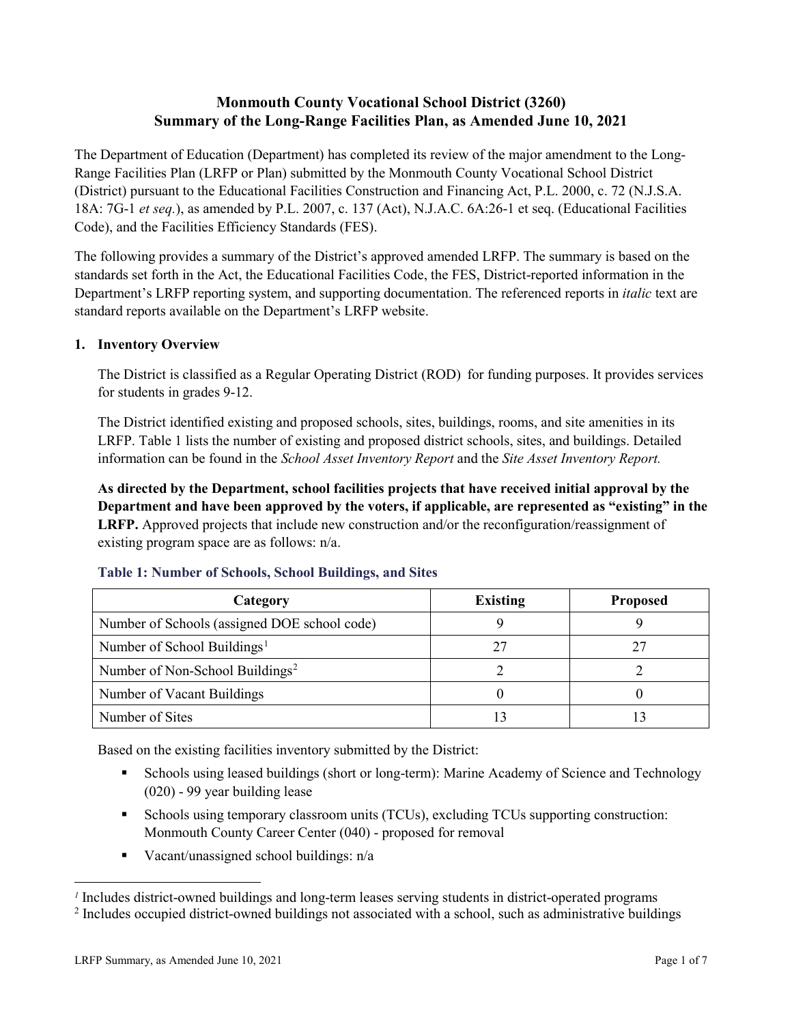# **Monmouth County Vocational School District (3260) Summary of the Long-Range Facilities Plan, as Amended June 10, 2021**

The Department of Education (Department) has completed its review of the major amendment to the Long-Range Facilities Plan (LRFP or Plan) submitted by the Monmouth County Vocational School District (District) pursuant to the Educational Facilities Construction and Financing Act, P.L. 2000, c. 72 (N.J.S.A. 18A: 7G-1 *et seq.*), as amended by P.L. 2007, c. 137 (Act), N.J.A.C. 6A:26-1 et seq. (Educational Facilities Code), and the Facilities Efficiency Standards (FES).

The following provides a summary of the District's approved amended LRFP. The summary is based on the standards set forth in the Act, the Educational Facilities Code, the FES, District-reported information in the Department's LRFP reporting system, and supporting documentation. The referenced reports in *italic* text are standard reports available on the Department's LRFP website.

### **1. Inventory Overview**

The District is classified as a Regular Operating District (ROD) for funding purposes. It provides services for students in grades 9-12.

The District identified existing and proposed schools, sites, buildings, rooms, and site amenities in its LRFP. Table 1 lists the number of existing and proposed district schools, sites, and buildings. Detailed information can be found in the *School Asset Inventory Report* and the *Site Asset Inventory Report.*

**As directed by the Department, school facilities projects that have received initial approval by the Department and have been approved by the voters, if applicable, are represented as "existing" in the LRFP.** Approved projects that include new construction and/or the reconfiguration/reassignment of existing program space are as follows: n/a.

| Category                                     | <b>Existing</b> | <b>Proposed</b> |
|----------------------------------------------|-----------------|-----------------|
| Number of Schools (assigned DOE school code) |                 |                 |
| Number of School Buildings <sup>1</sup>      |                 |                 |
| Number of Non-School Buildings <sup>2</sup>  |                 |                 |
| Number of Vacant Buildings                   |                 |                 |
| Number of Sites                              |                 |                 |

#### **Table 1: Number of Schools, School Buildings, and Sites**

Based on the existing facilities inventory submitted by the District:

- Schools using leased buildings (short or long-term): Marine Academy of Science and Technology (020) - 99 year building lease
- Schools using temporary classroom units (TCUs), excluding TCUs supporting construction: Monmouth County Career Center (040) - proposed for removal
- Vacant/unassigned school buildings: n/a

 $\overline{a}$ 

<span id="page-1-1"></span><span id="page-1-0"></span>*<sup>1</sup>* Includes district-owned buildings and long-term leases serving students in district-operated programs

<sup>&</sup>lt;sup>2</sup> Includes occupied district-owned buildings not associated with a school, such as administrative buildings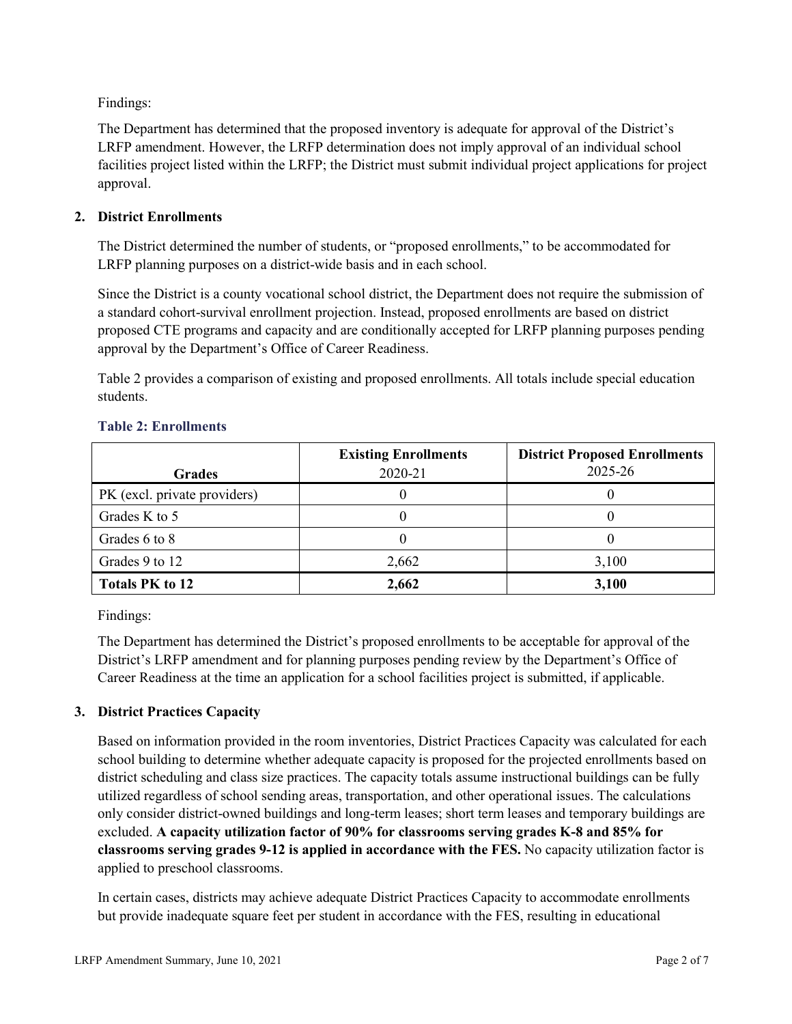Findings:

The Department has determined that the proposed inventory is adequate for approval of the District's LRFP amendment. However, the LRFP determination does not imply approval of an individual school facilities project listed within the LRFP; the District must submit individual project applications for project approval.

### **2. District Enrollments**

The District determined the number of students, or "proposed enrollments," to be accommodated for LRFP planning purposes on a district-wide basis and in each school.

Since the District is a county vocational school district, the Department does not require the submission of a standard cohort-survival enrollment projection. Instead, proposed enrollments are based on district proposed CTE programs and capacity and are conditionally accepted for LRFP planning purposes pending approval by the Department's Office of Career Readiness.

Table 2 provides a comparison of existing and proposed enrollments. All totals include special education students.

| <b>Grades</b>                | <b>Existing Enrollments</b><br>2020-21 | <b>District Proposed Enrollments</b><br>2025-26 |
|------------------------------|----------------------------------------|-------------------------------------------------|
| PK (excl. private providers) |                                        |                                                 |
| Grades K to 5                |                                        |                                                 |
| Grades 6 to 8                |                                        |                                                 |
| Grades 9 to 12               | 2,662                                  | 3,100                                           |
| <b>Totals PK to 12</b>       | 2,662                                  | 3,100                                           |

#### **Table 2: Enrollments**

Findings:

The Department has determined the District's proposed enrollments to be acceptable for approval of the District's LRFP amendment and for planning purposes pending review by the Department's Office of Career Readiness at the time an application for a school facilities project is submitted, if applicable.

### **3. District Practices Capacity**

Based on information provided in the room inventories, District Practices Capacity was calculated for each school building to determine whether adequate capacity is proposed for the projected enrollments based on district scheduling and class size practices. The capacity totals assume instructional buildings can be fully utilized regardless of school sending areas, transportation, and other operational issues. The calculations only consider district-owned buildings and long-term leases; short term leases and temporary buildings are excluded. **A capacity utilization factor of 90% for classrooms serving grades K-8 and 85% for classrooms serving grades 9-12 is applied in accordance with the FES.** No capacity utilization factor is applied to preschool classrooms.

In certain cases, districts may achieve adequate District Practices Capacity to accommodate enrollments but provide inadequate square feet per student in accordance with the FES, resulting in educational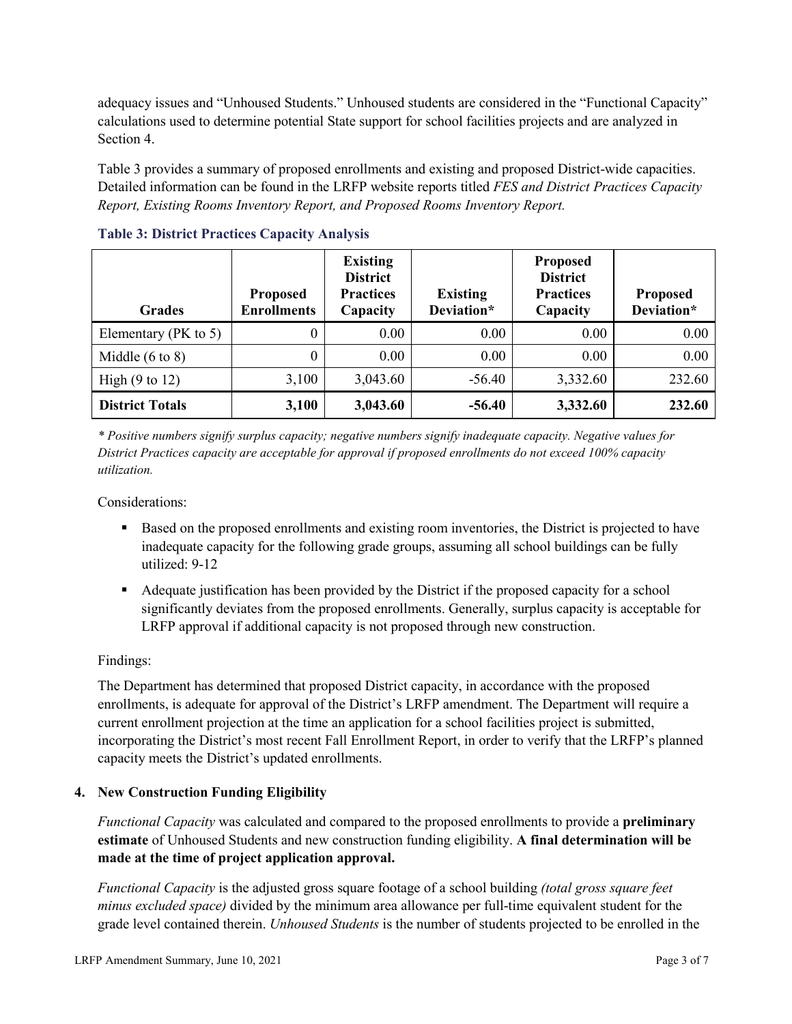adequacy issues and "Unhoused Students." Unhoused students are considered in the "Functional Capacity" calculations used to determine potential State support for school facilities projects and are analyzed in Section 4.

Table 3 provides a summary of proposed enrollments and existing and proposed District-wide capacities. Detailed information can be found in the LRFP website reports titled *FES and District Practices Capacity Report, Existing Rooms Inventory Report, and Proposed Rooms Inventory Report.*

| <b>Grades</b>              | <b>Proposed</b><br><b>Enrollments</b> | <b>Existing</b><br><b>District</b><br><b>Practices</b><br>Capacity | <b>Existing</b><br>Deviation* | <b>Proposed</b><br><b>District</b><br><b>Practices</b><br>Capacity | <b>Proposed</b><br>Deviation* |
|----------------------------|---------------------------------------|--------------------------------------------------------------------|-------------------------------|--------------------------------------------------------------------|-------------------------------|
| Elementary ( $PK$ to 5)    | 0                                     | 0.00                                                               | 0.00                          | 0.00                                                               | 0.00                          |
| Middle $(6 \text{ to } 8)$ | 0                                     | 0.00                                                               | 0.00                          | 0.00                                                               | 0.00                          |
| High $(9 \text{ to } 12)$  | 3,100                                 | 3,043.60                                                           | $-56.40$                      | 3,332.60                                                           | 232.60                        |
| <b>District Totals</b>     | 3,100                                 | 3,043.60                                                           | $-56.40$                      | 3,332.60                                                           | 232.60                        |

**Table 3: District Practices Capacity Analysis**

*\* Positive numbers signify surplus capacity; negative numbers signify inadequate capacity. Negative values for District Practices capacity are acceptable for approval if proposed enrollments do not exceed 100% capacity utilization.*

Considerations:

- Based on the proposed enrollments and existing room inventories, the District is projected to have inadequate capacity for the following grade groups, assuming all school buildings can be fully utilized: 9-12
- Adequate justification has been provided by the District if the proposed capacity for a school significantly deviates from the proposed enrollments. Generally, surplus capacity is acceptable for LRFP approval if additional capacity is not proposed through new construction.

### Findings:

The Department has determined that proposed District capacity, in accordance with the proposed enrollments, is adequate for approval of the District's LRFP amendment. The Department will require a current enrollment projection at the time an application for a school facilities project is submitted, incorporating the District's most recent Fall Enrollment Report, in order to verify that the LRFP's planned capacity meets the District's updated enrollments.

#### **4. New Construction Funding Eligibility**

*Functional Capacity* was calculated and compared to the proposed enrollments to provide a **preliminary estimate** of Unhoused Students and new construction funding eligibility. **A final determination will be made at the time of project application approval.**

*Functional Capacity* is the adjusted gross square footage of a school building *(total gross square feet minus excluded space)* divided by the minimum area allowance per full-time equivalent student for the grade level contained therein. *Unhoused Students* is the number of students projected to be enrolled in the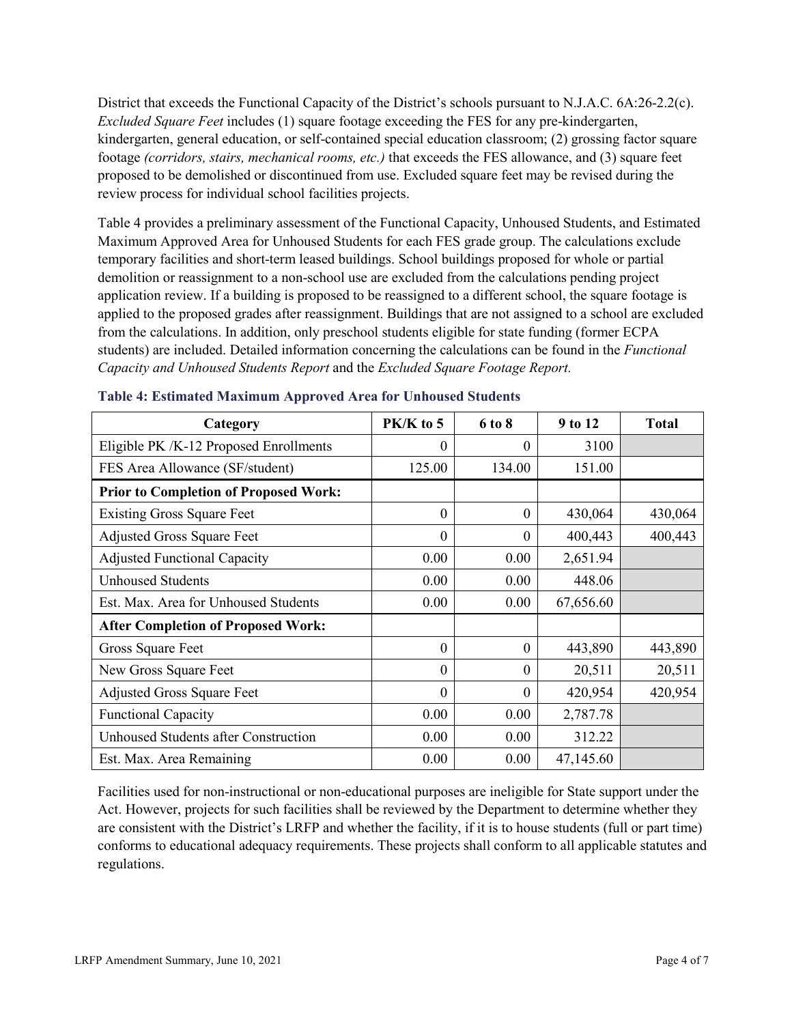District that exceeds the Functional Capacity of the District's schools pursuant to N.J.A.C. 6A:26-2.2(c). *Excluded Square Feet* includes (1) square footage exceeding the FES for any pre-kindergarten, kindergarten, general education, or self-contained special education classroom; (2) grossing factor square footage *(corridors, stairs, mechanical rooms, etc.)* that exceeds the FES allowance, and (3) square feet proposed to be demolished or discontinued from use. Excluded square feet may be revised during the review process for individual school facilities projects.

Table 4 provides a preliminary assessment of the Functional Capacity, Unhoused Students, and Estimated Maximum Approved Area for Unhoused Students for each FES grade group. The calculations exclude temporary facilities and short-term leased buildings. School buildings proposed for whole or partial demolition or reassignment to a non-school use are excluded from the calculations pending project application review. If a building is proposed to be reassigned to a different school, the square footage is applied to the proposed grades after reassignment. Buildings that are not assigned to a school are excluded from the calculations. In addition, only preschool students eligible for state funding (former ECPA students) are included. Detailed information concerning the calculations can be found in the *Functional Capacity and Unhoused Students Report* and the *Excluded Square Footage Report.*

| Category                                     | PK/K to 5 | 6 to 8   | 9 to 12   | <b>Total</b> |
|----------------------------------------------|-----------|----------|-----------|--------------|
| Eligible PK /K-12 Proposed Enrollments       | 0         | 0        | 3100      |              |
| FES Area Allowance (SF/student)              | 125.00    | 134.00   | 151.00    |              |
| <b>Prior to Completion of Proposed Work:</b> |           |          |           |              |
| <b>Existing Gross Square Feet</b>            | $\theta$  | $\theta$ | 430,064   | 430,064      |
| <b>Adjusted Gross Square Feet</b>            | $\theta$  | $\theta$ | 400,443   | 400,443      |
| <b>Adjusted Functional Capacity</b>          | 0.00      | 0.00     | 2,651.94  |              |
| <b>Unhoused Students</b>                     | 0.00      | 0.00     | 448.06    |              |
| Est. Max. Area for Unhoused Students         | 0.00      | 0.00     | 67,656.60 |              |
| <b>After Completion of Proposed Work:</b>    |           |          |           |              |
| Gross Square Feet                            | $\theta$  | $\theta$ | 443,890   | 443,890      |
| New Gross Square Feet                        | $\theta$  | $\theta$ | 20,511    | 20,511       |
| <b>Adjusted Gross Square Feet</b>            | $\theta$  | $\theta$ | 420,954   | 420,954      |
| <b>Functional Capacity</b>                   | 0.00      | 0.00     | 2,787.78  |              |
| Unhoused Students after Construction         | 0.00      | 0.00     | 312.22    |              |
| Est. Max. Area Remaining                     | 0.00      | 0.00     | 47,145.60 |              |

|  | Table 4: Estimated Maximum Approved Area for Unhoused Students |  |  |  |  |  |
|--|----------------------------------------------------------------|--|--|--|--|--|
|--|----------------------------------------------------------------|--|--|--|--|--|

Facilities used for non-instructional or non-educational purposes are ineligible for State support under the Act. However, projects for such facilities shall be reviewed by the Department to determine whether they are consistent with the District's LRFP and whether the facility, if it is to house students (full or part time) conforms to educational adequacy requirements. These projects shall conform to all applicable statutes and regulations.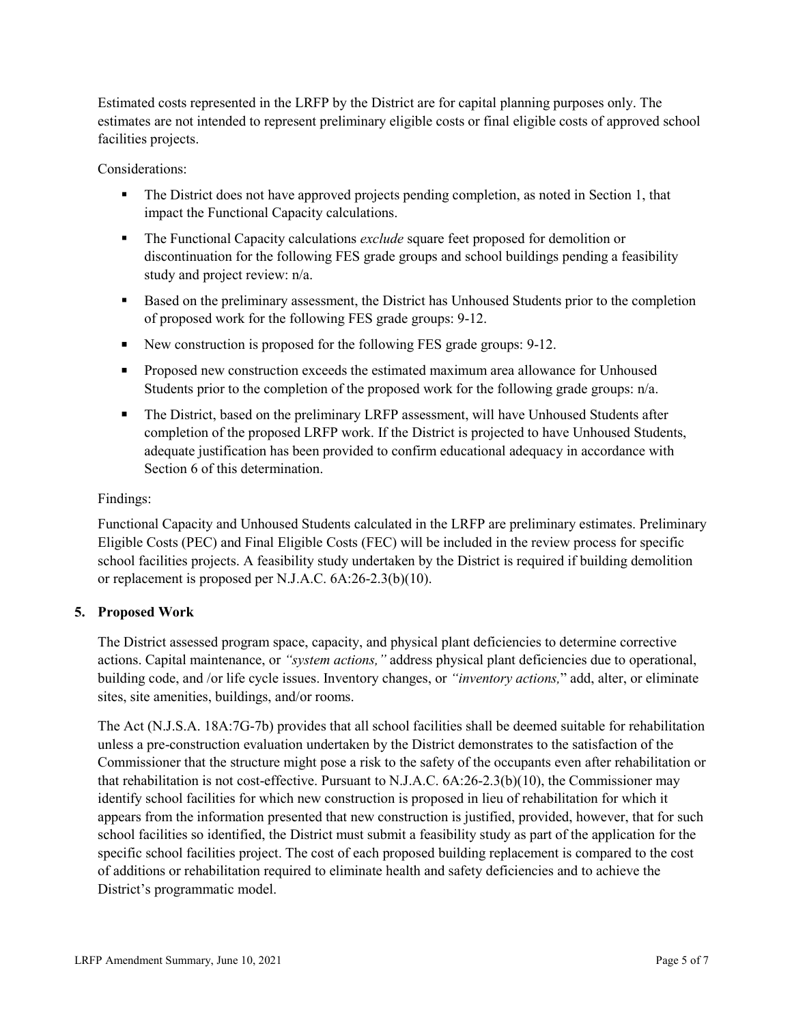Estimated costs represented in the LRFP by the District are for capital planning purposes only. The estimates are not intended to represent preliminary eligible costs or final eligible costs of approved school facilities projects.

Considerations:

- The District does not have approved projects pending completion, as noted in Section 1, that impact the Functional Capacity calculations.
- The Functional Capacity calculations *exclude* square feet proposed for demolition or discontinuation for the following FES grade groups and school buildings pending a feasibility study and project review: n/a.
- Based on the preliminary assessment, the District has Unhoused Students prior to the completion of proposed work for the following FES grade groups: 9-12.
- New construction is proposed for the following FES grade groups: 9-12.
- **Proposed new construction exceeds the estimated maximum area allowance for Unhoused** Students prior to the completion of the proposed work for the following grade groups: n/a.
- The District, based on the preliminary LRFP assessment, will have Unhoused Students after completion of the proposed LRFP work. If the District is projected to have Unhoused Students, adequate justification has been provided to confirm educational adequacy in accordance with Section 6 of this determination.

### Findings:

Functional Capacity and Unhoused Students calculated in the LRFP are preliminary estimates. Preliminary Eligible Costs (PEC) and Final Eligible Costs (FEC) will be included in the review process for specific school facilities projects. A feasibility study undertaken by the District is required if building demolition or replacement is proposed per N.J.A.C. 6A:26-2.3(b)(10).

### **5. Proposed Work**

The District assessed program space, capacity, and physical plant deficiencies to determine corrective actions. Capital maintenance, or *"system actions,"* address physical plant deficiencies due to operational, building code, and /or life cycle issues. Inventory changes, or *"inventory actions,*" add, alter, or eliminate sites, site amenities, buildings, and/or rooms.

The Act (N.J.S.A. 18A:7G-7b) provides that all school facilities shall be deemed suitable for rehabilitation unless a pre-construction evaluation undertaken by the District demonstrates to the satisfaction of the Commissioner that the structure might pose a risk to the safety of the occupants even after rehabilitation or that rehabilitation is not cost-effective. Pursuant to N.J.A.C. 6A:26-2.3(b)(10), the Commissioner may identify school facilities for which new construction is proposed in lieu of rehabilitation for which it appears from the information presented that new construction is justified, provided, however, that for such school facilities so identified, the District must submit a feasibility study as part of the application for the specific school facilities project. The cost of each proposed building replacement is compared to the cost of additions or rehabilitation required to eliminate health and safety deficiencies and to achieve the District's programmatic model.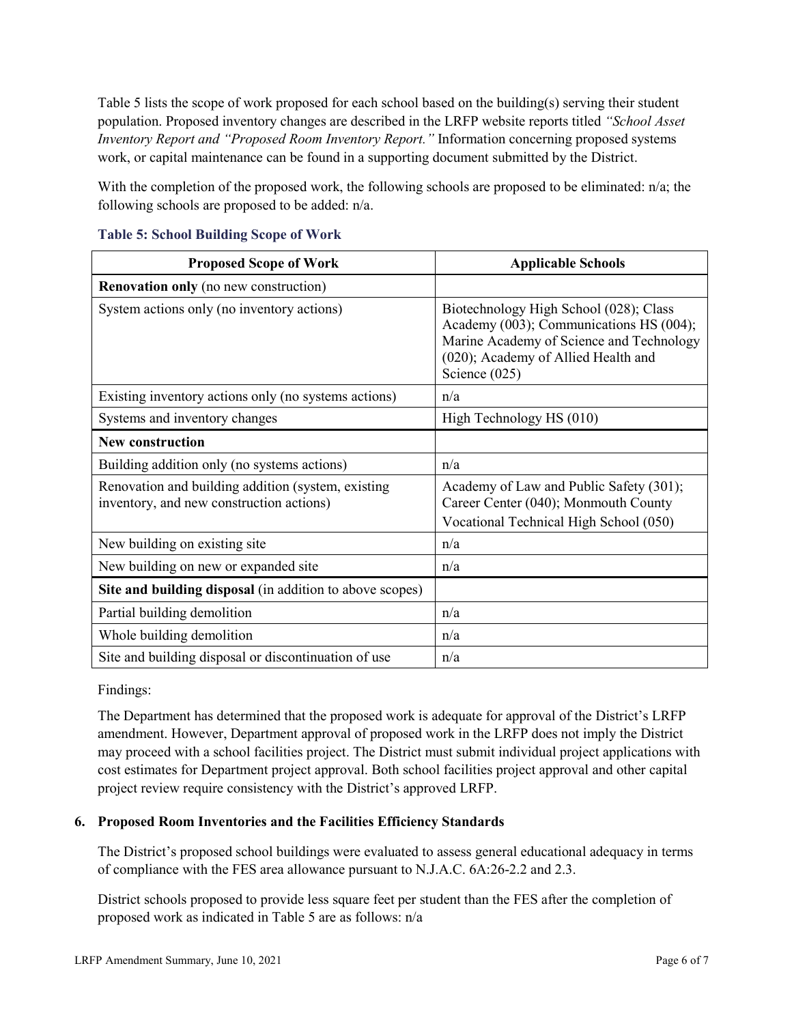Table 5 lists the scope of work proposed for each school based on the building(s) serving their student population. Proposed inventory changes are described in the LRFP website reports titled *"School Asset Inventory Report and "Proposed Room Inventory Report."* Information concerning proposed systems work, or capital maintenance can be found in a supporting document submitted by the District.

With the completion of the proposed work, the following schools are proposed to be eliminated: n/a; the following schools are proposed to be added: n/a.

| <b>Proposed Scope of Work</b>                                                                  | <b>Applicable Schools</b>                                                                                                                                                               |
|------------------------------------------------------------------------------------------------|-----------------------------------------------------------------------------------------------------------------------------------------------------------------------------------------|
| <b>Renovation only</b> (no new construction)                                                   |                                                                                                                                                                                         |
| System actions only (no inventory actions)                                                     | Biotechnology High School (028); Class<br>Academy (003); Communications HS (004);<br>Marine Academy of Science and Technology<br>(020); Academy of Allied Health and<br>Science $(025)$ |
| Existing inventory actions only (no systems actions)                                           | n/a                                                                                                                                                                                     |
| Systems and inventory changes                                                                  | High Technology HS (010)                                                                                                                                                                |
| <b>New construction</b>                                                                        |                                                                                                                                                                                         |
| Building addition only (no systems actions)                                                    | n/a                                                                                                                                                                                     |
| Renovation and building addition (system, existing<br>inventory, and new construction actions) | Academy of Law and Public Safety (301);<br>Career Center (040); Monmouth County<br>Vocational Technical High School (050)                                                               |
| New building on existing site                                                                  | n/a                                                                                                                                                                                     |
| New building on new or expanded site                                                           | n/a                                                                                                                                                                                     |
| Site and building disposal (in addition to above scopes)                                       |                                                                                                                                                                                         |
| Partial building demolition                                                                    | n/a                                                                                                                                                                                     |
| Whole building demolition                                                                      | n/a                                                                                                                                                                                     |
| Site and building disposal or discontinuation of use                                           | n/a                                                                                                                                                                                     |

**Table 5: School Building Scope of Work**

Findings:

The Department has determined that the proposed work is adequate for approval of the District's LRFP amendment. However, Department approval of proposed work in the LRFP does not imply the District may proceed with a school facilities project. The District must submit individual project applications with cost estimates for Department project approval. Both school facilities project approval and other capital project review require consistency with the District's approved LRFP.

### **6. Proposed Room Inventories and the Facilities Efficiency Standards**

The District's proposed school buildings were evaluated to assess general educational adequacy in terms of compliance with the FES area allowance pursuant to N.J.A.C. 6A:26-2.2 and 2.3.

District schools proposed to provide less square feet per student than the FES after the completion of proposed work as indicated in Table 5 are as follows: n/a